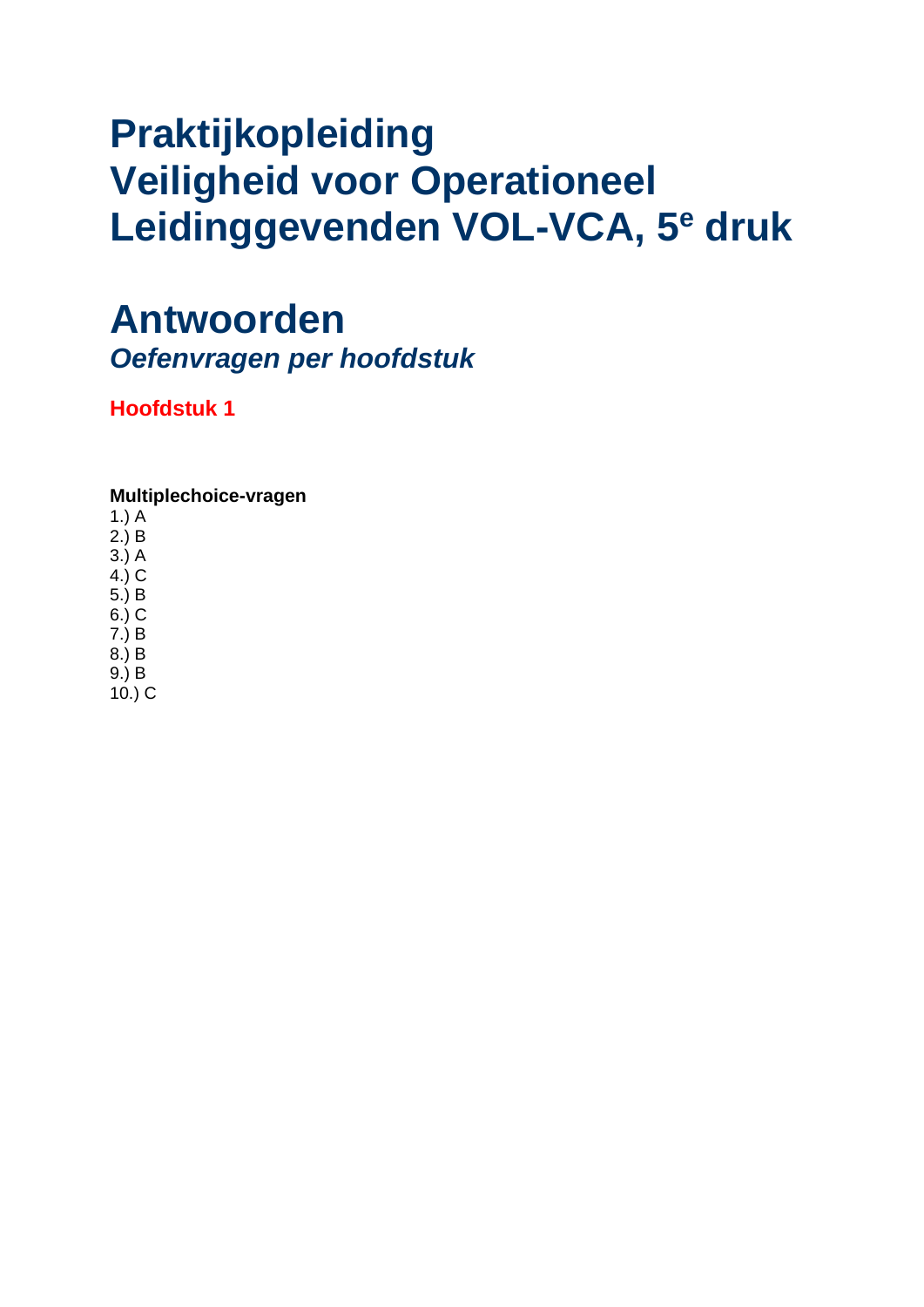### **Praktijkopleiding Veiligheid voor Operationeel Leidinggevenden VOL-VCA, 5<sup>e</sup> druk**

### **Antwoorden**

*Oefenvragen per hoofdstuk*

**Hoofdstuk 1**

### **Multiplechoice-vragen**

1.) A

- 2.) B
- 3.) A 4.) C
- 5.) B
- 6.) C
- 7.) B
- 8.) B
- 9.) B
- 10.) C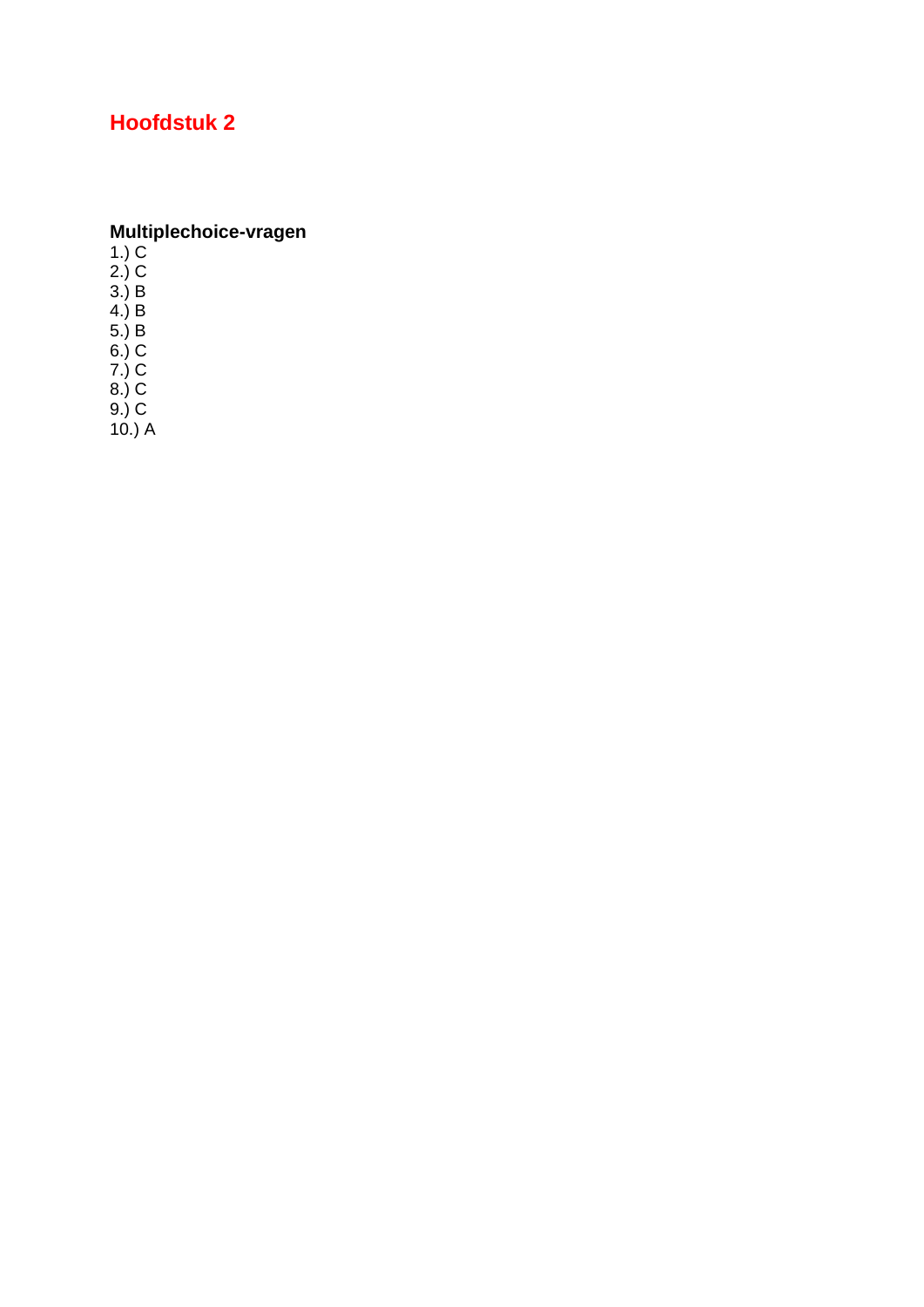Multiplechoice-vragen<br>1.) C<br>2.) C<br>3.) B<br>4.) B<br>5.) B<br>6.) C<br> $\rightarrow$  C  $7.) C$ <br>8.) C

 $9.) C$ <br>10.) A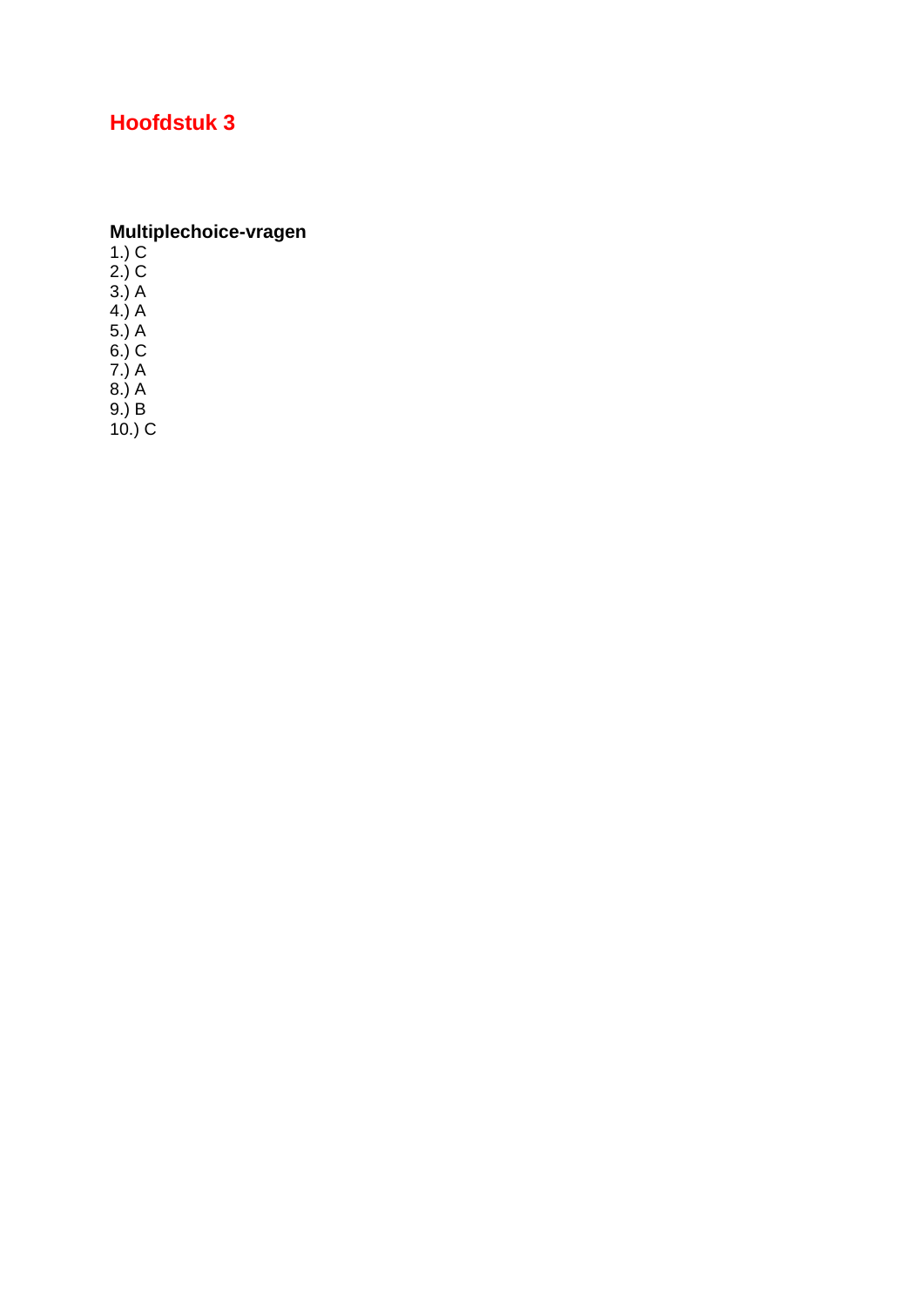**Multiplechoice-vragen**<br>1.) C<br>2.) C<br>3.) A<br>4.) A<br>4.) A<br>5.) A<br>6.) C  $7.)$  A  $8.)A$ 

 $9.$ ) B<br>10.) C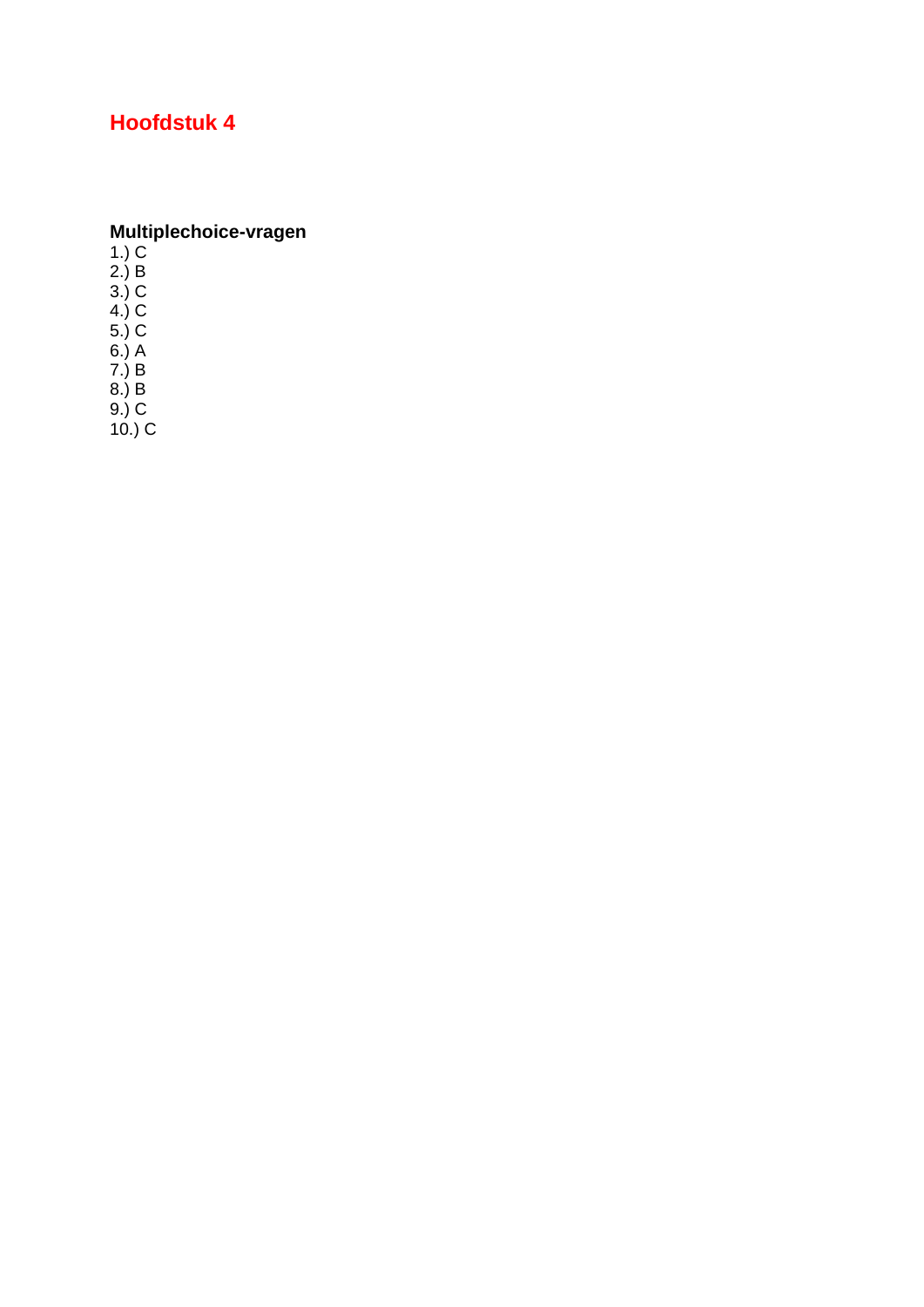**Multiplechoice-vragen**<br>1.) C<br>2.) B<br>3.) C<br>4.) C<br>4.) C<br>6.) A<br>6.) A<br>7.) B<br>8.) B

 $9.) C$ <br>10.) C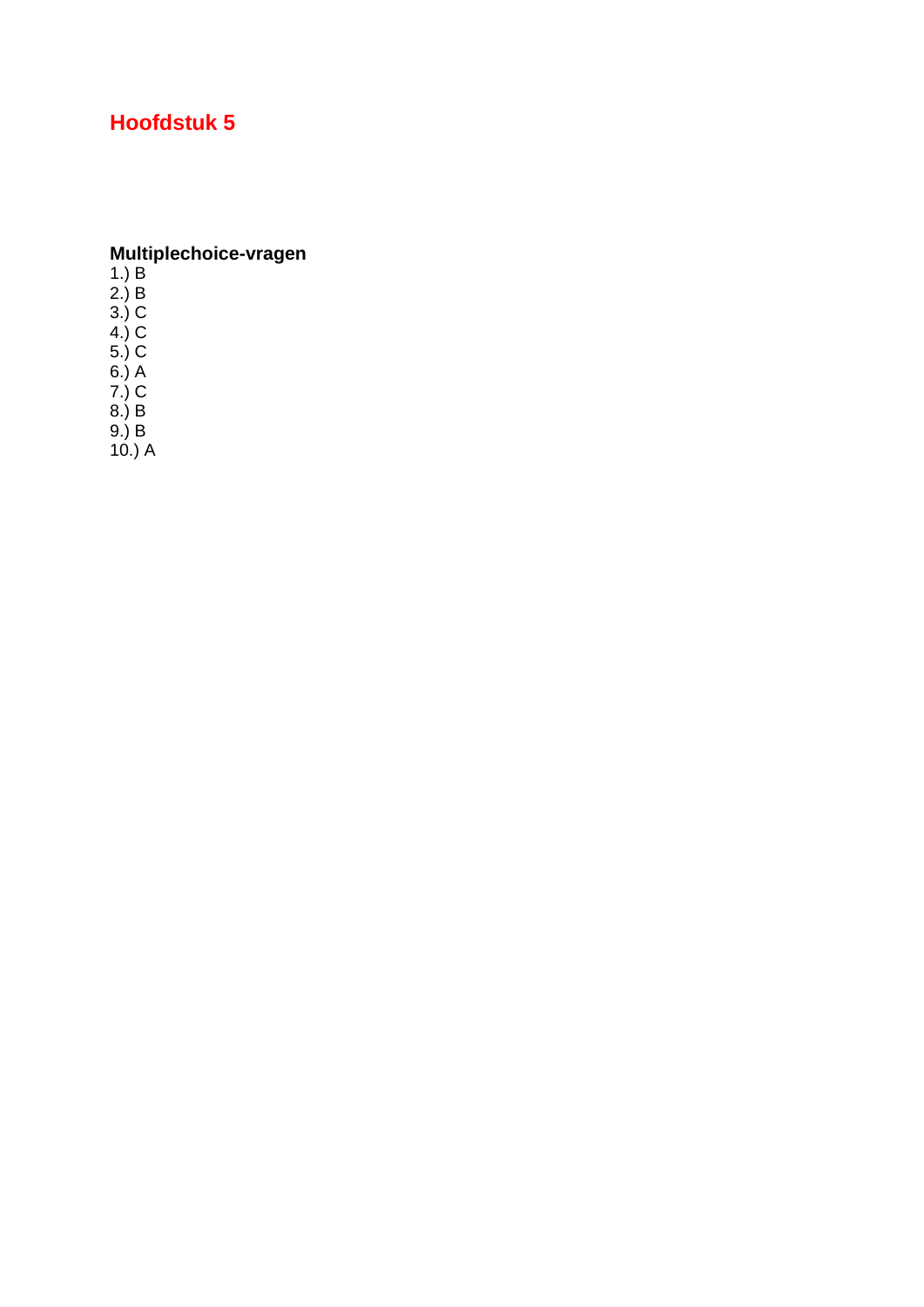## Multiplechoice-vragen<br>1.) B<br>2.) B<br>3.) C<br>4.) C

4.) C<br>5.) C<br>6.) A<br>7.) C<br>8.) B<br>9.) B<br>10.) A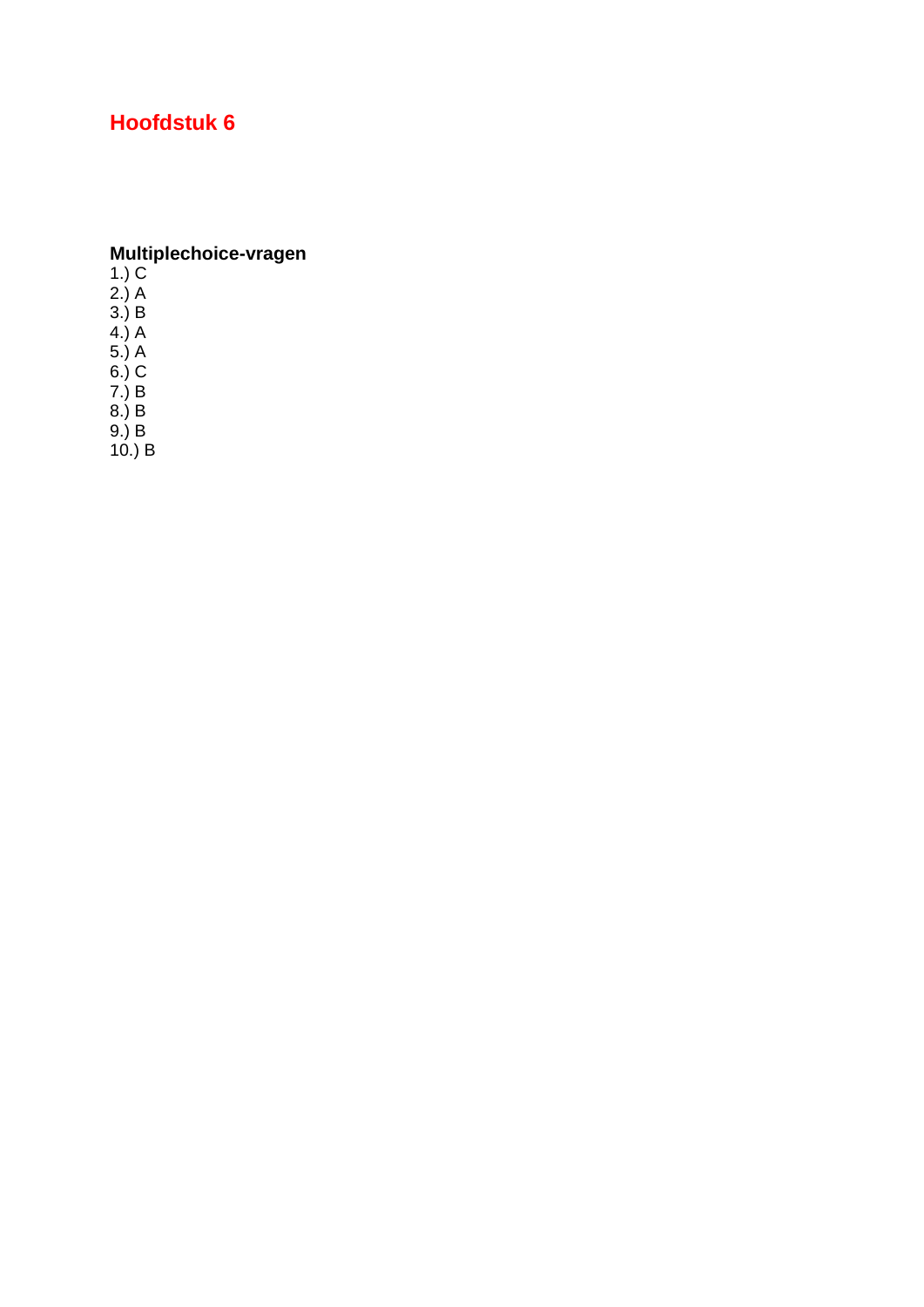### **Multiplechoice-vragen**

1.) C

2.) A

3.) B

4.) A

5.) A 6.) C

7.) B

8.) B

9.) B

10.) B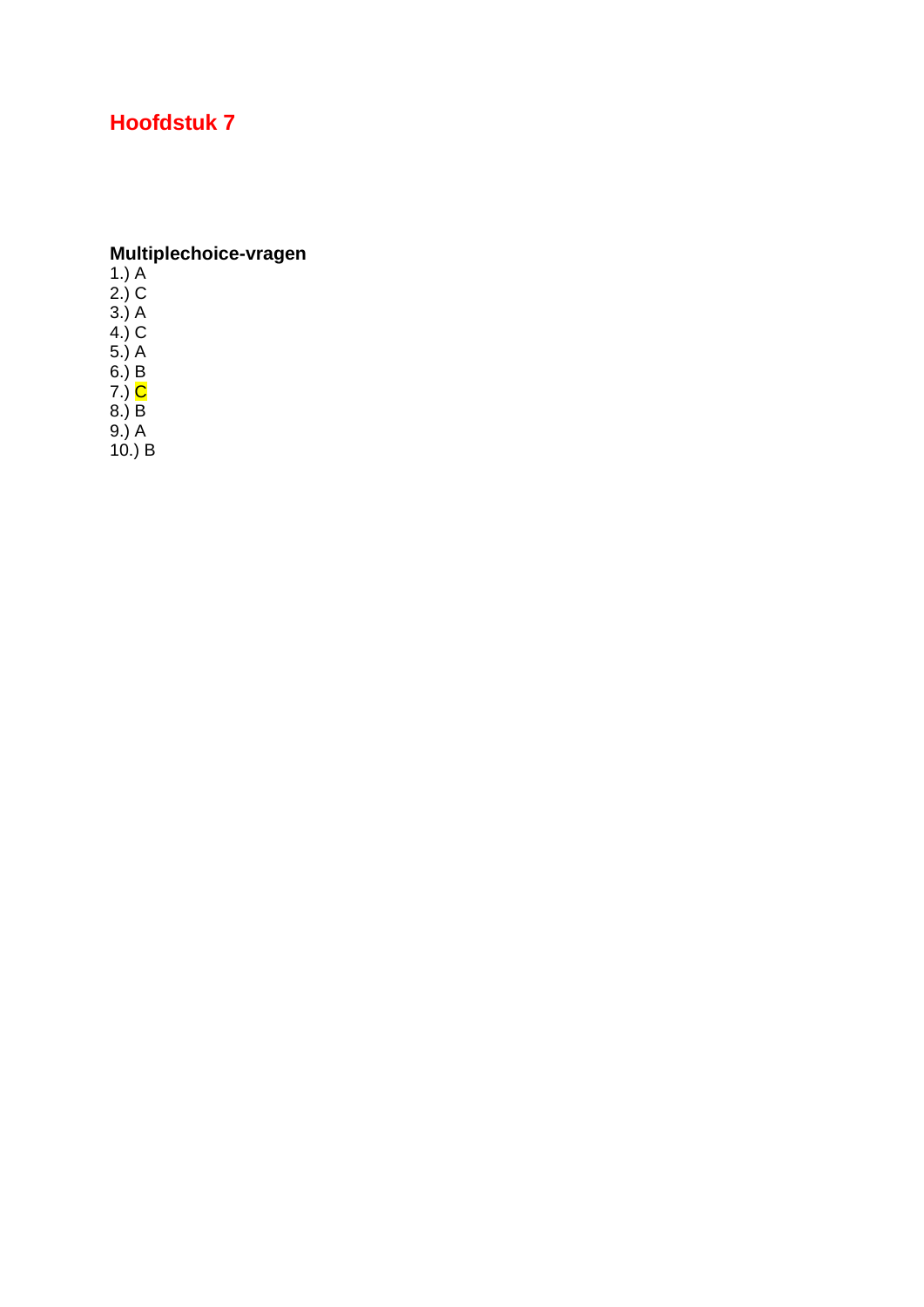# **Multiplechoice-vragen**<br>1.) A<br>2.) C<br>3.) A<br>4.) C<br>5.) A<br>6.) B<br>7.) C<br>8.) B

 $9.) A$ <br>10.) B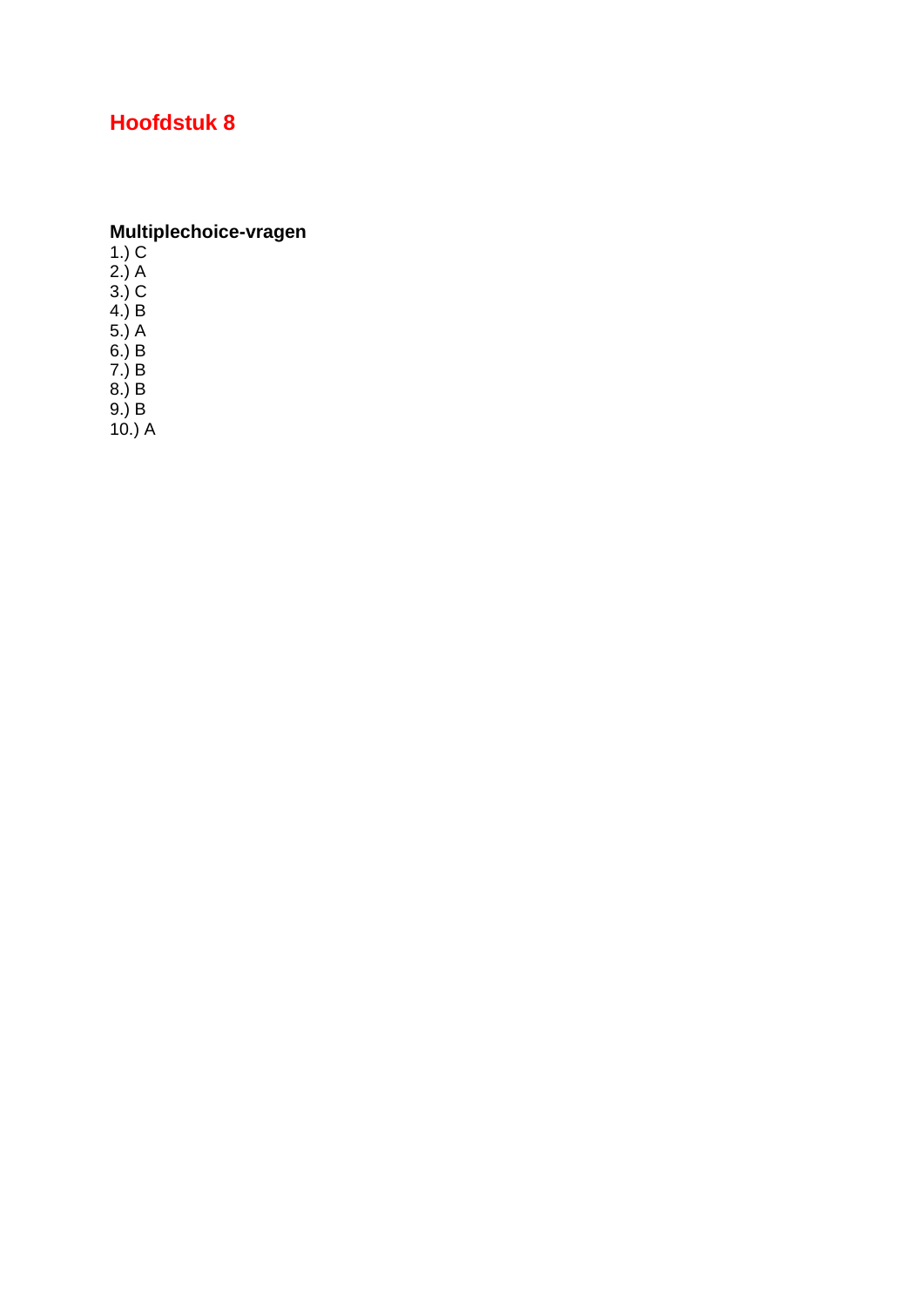**Multiplechoice-vragen**<br>1.) C<br>2.) A<br>3.) C<br>4.) B<br>5.) A<br>5.) A<br>6.) B<br>7.) B<br>8.) B

 $9.) B$ <br>10.) A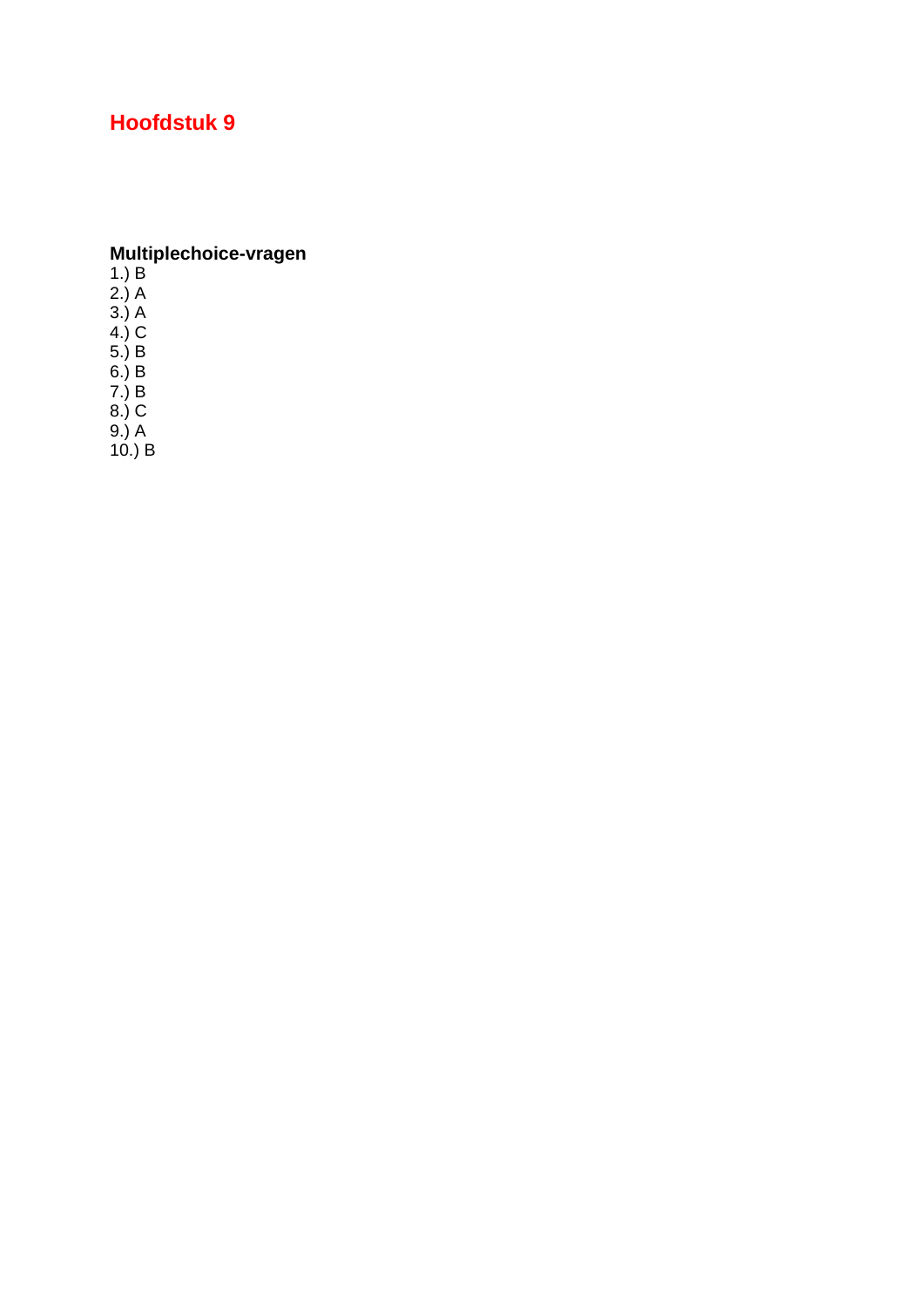# **Multiplechoice-vragen**<br>1.) B<br>2.) A<br>3.) A<br>3.) A<br>4.) C<br>5.) B<br>6.) B<br>7.) B<br>8.) C

 $9.) A$ <br>10.) B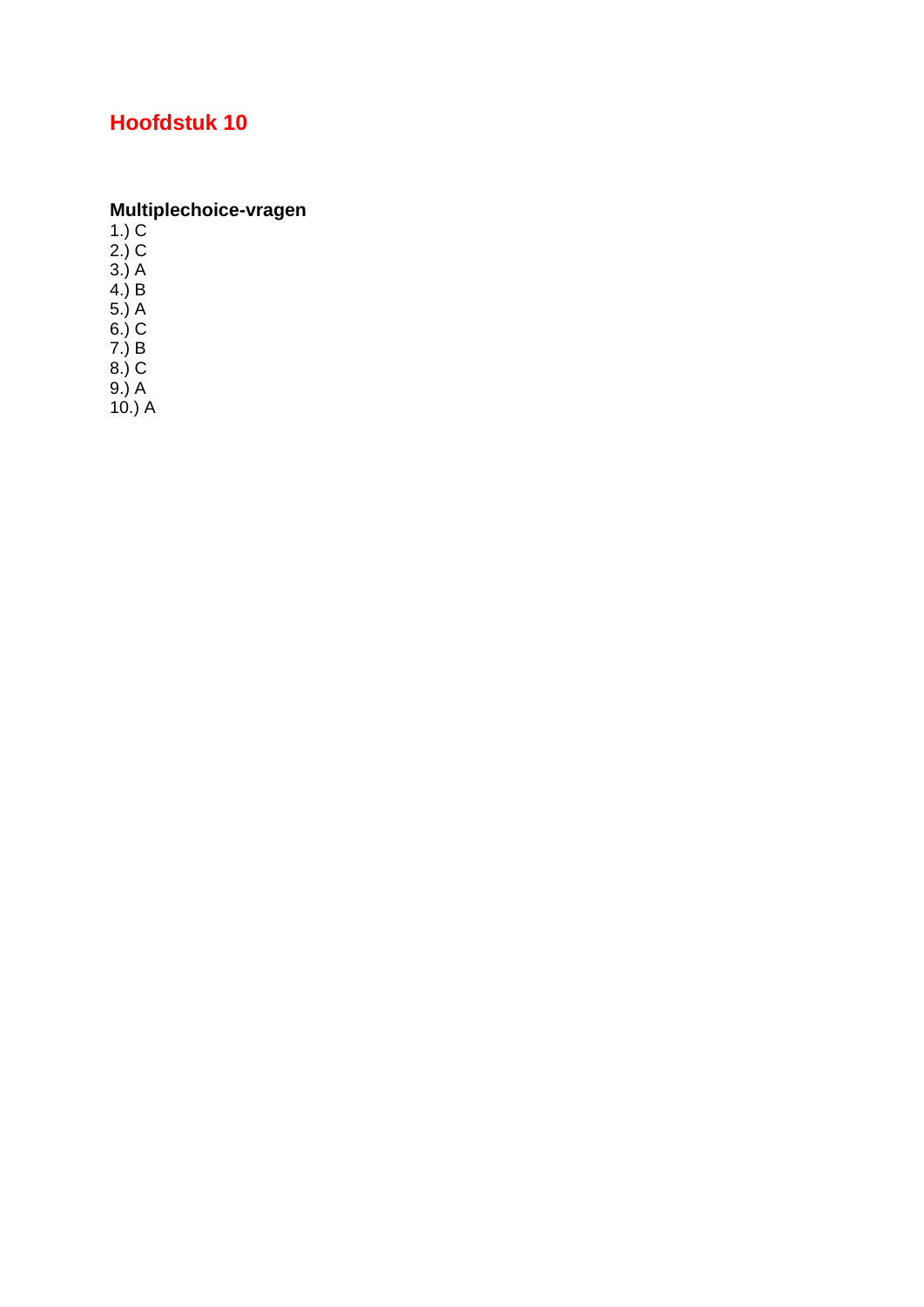# **Multiplechoice-vragen**<br>1.) C<br>2.) C<br>3.) A<br>4.) B<br>5.) A<br>6.) C<br>7.) B<br>8.) C<br>9.) A<br>40.) A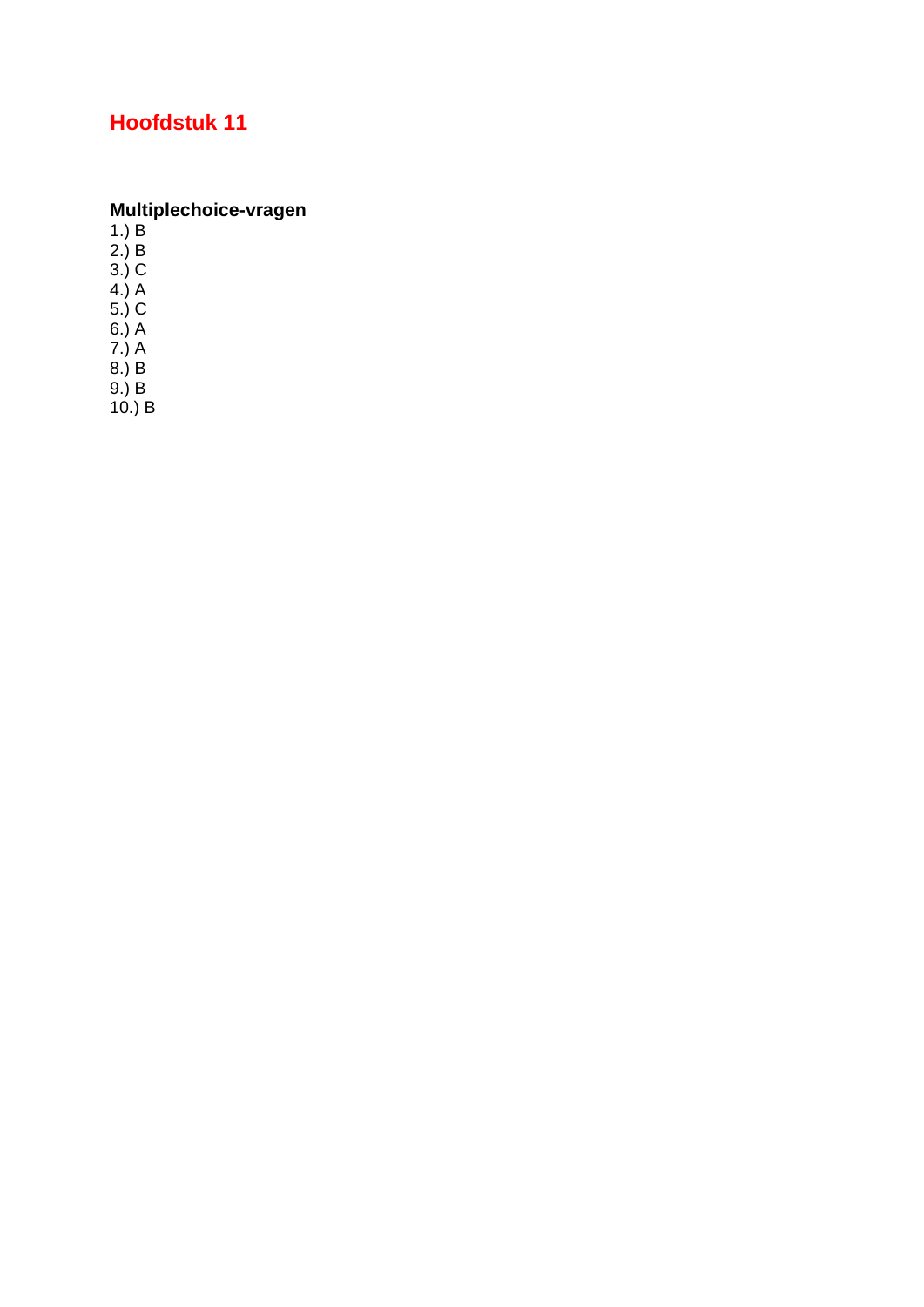### **Multiplechoice-vragen**

1.) B

2.) B

3.) C

4.) A

5.) C 6.) A

7.) A

8.) B

9.) B

10.) B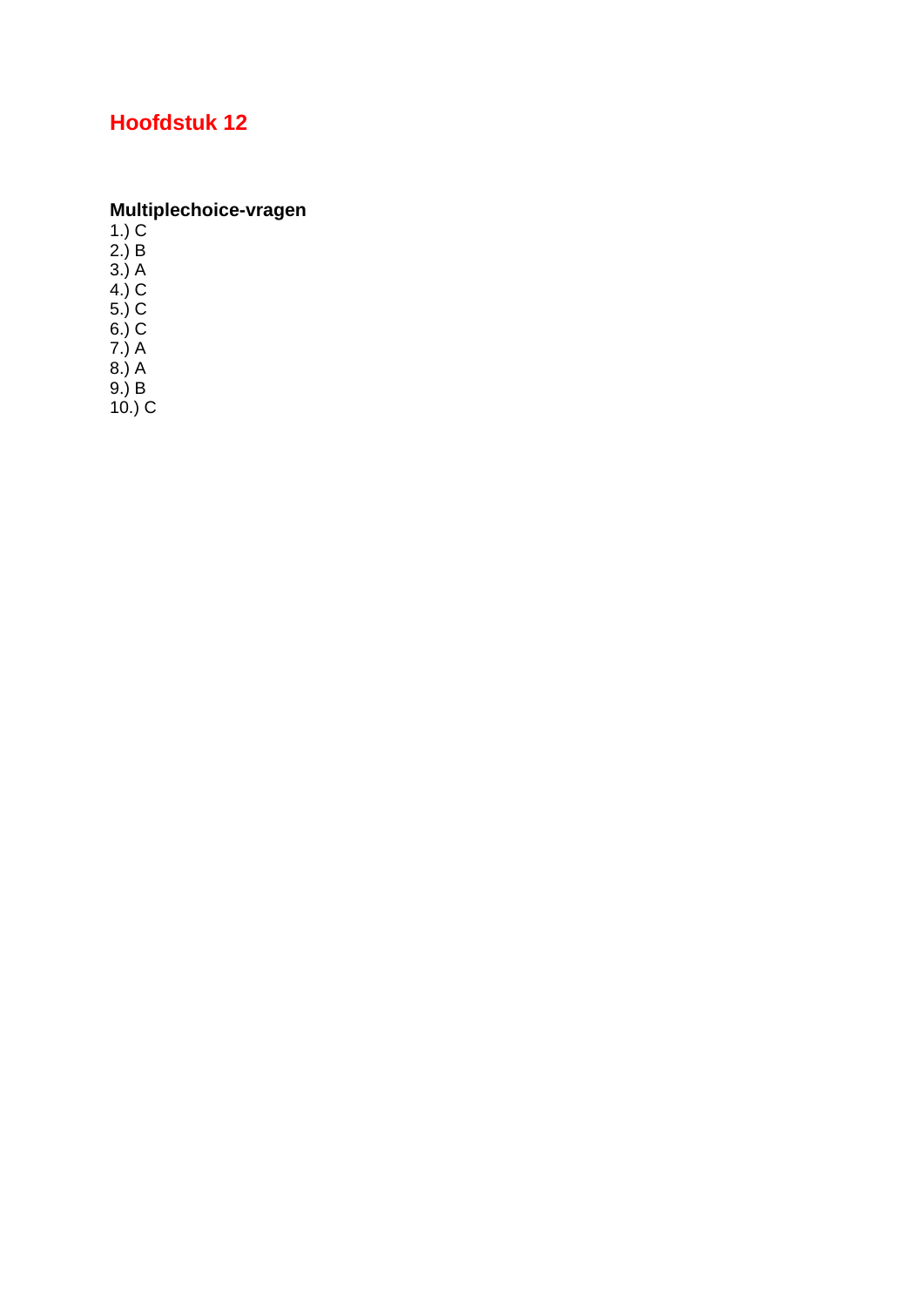# **Multiplechoice-vragen**<br>1.) C<br>2.) B<br>3.) A<br>3.) A<br>4.) C<br>5.) C<br>6.) C<br>7.) A<br>8.) A<br>9.) B<br>10.) C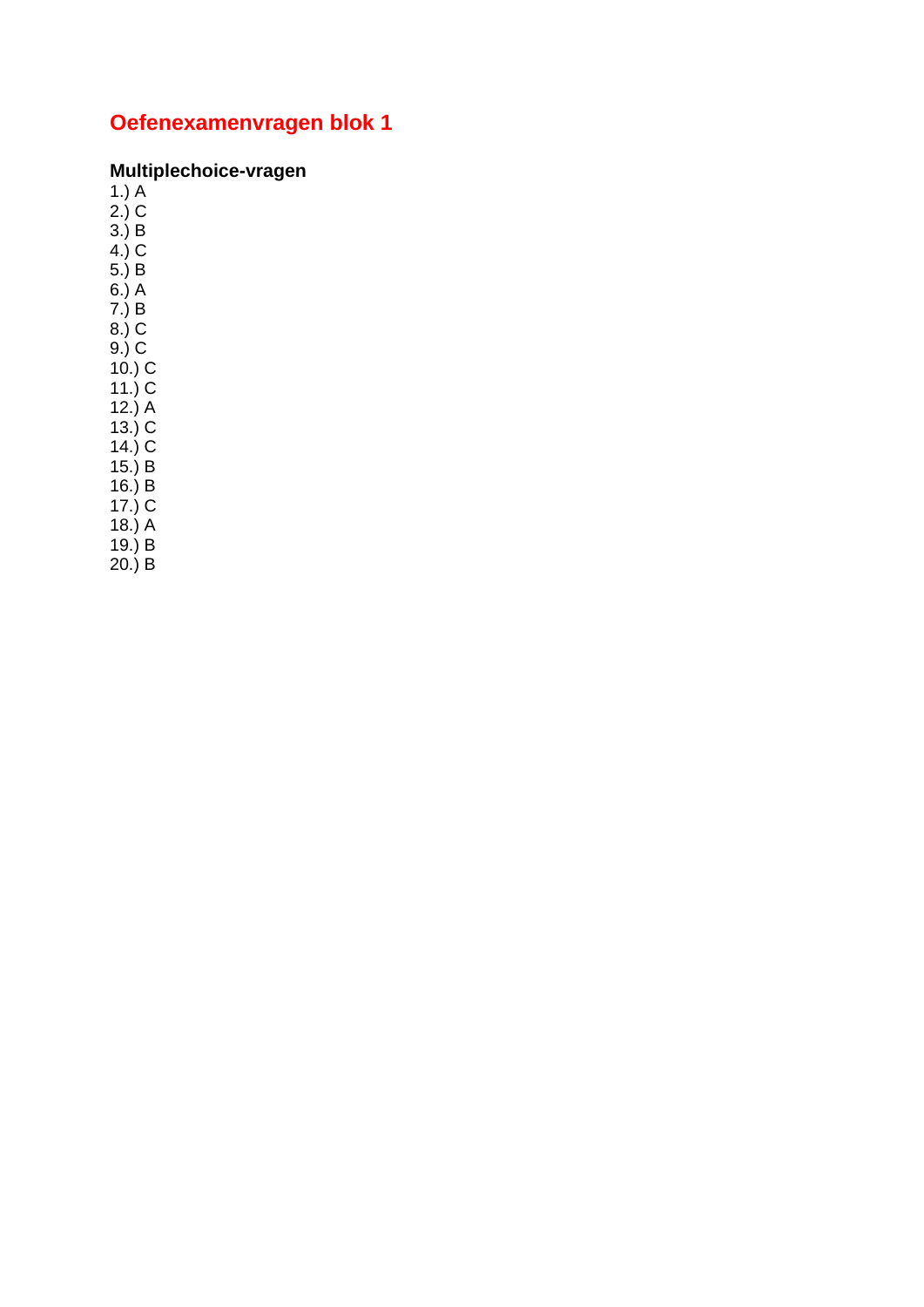### **Multiplechoice-vragen**<br>1.) A<br>2.) C

 $3.$ ) B  $4.0<sub>c</sub>$ 

 $5.$ ) B

 $6.)A$ 

 $7.) B$ 

 $8.)$  C

 $9.) C$ <br>10.) C

11.)  $\overline{C}$ 

 $12.)A$ 

 $(13.)$  C

 $14.)$  C

 $15.$ ) B

 $16.$ ) B

 $17.$ ) C

 $18.$ ) A<br>19.) B

 $20.$ ) B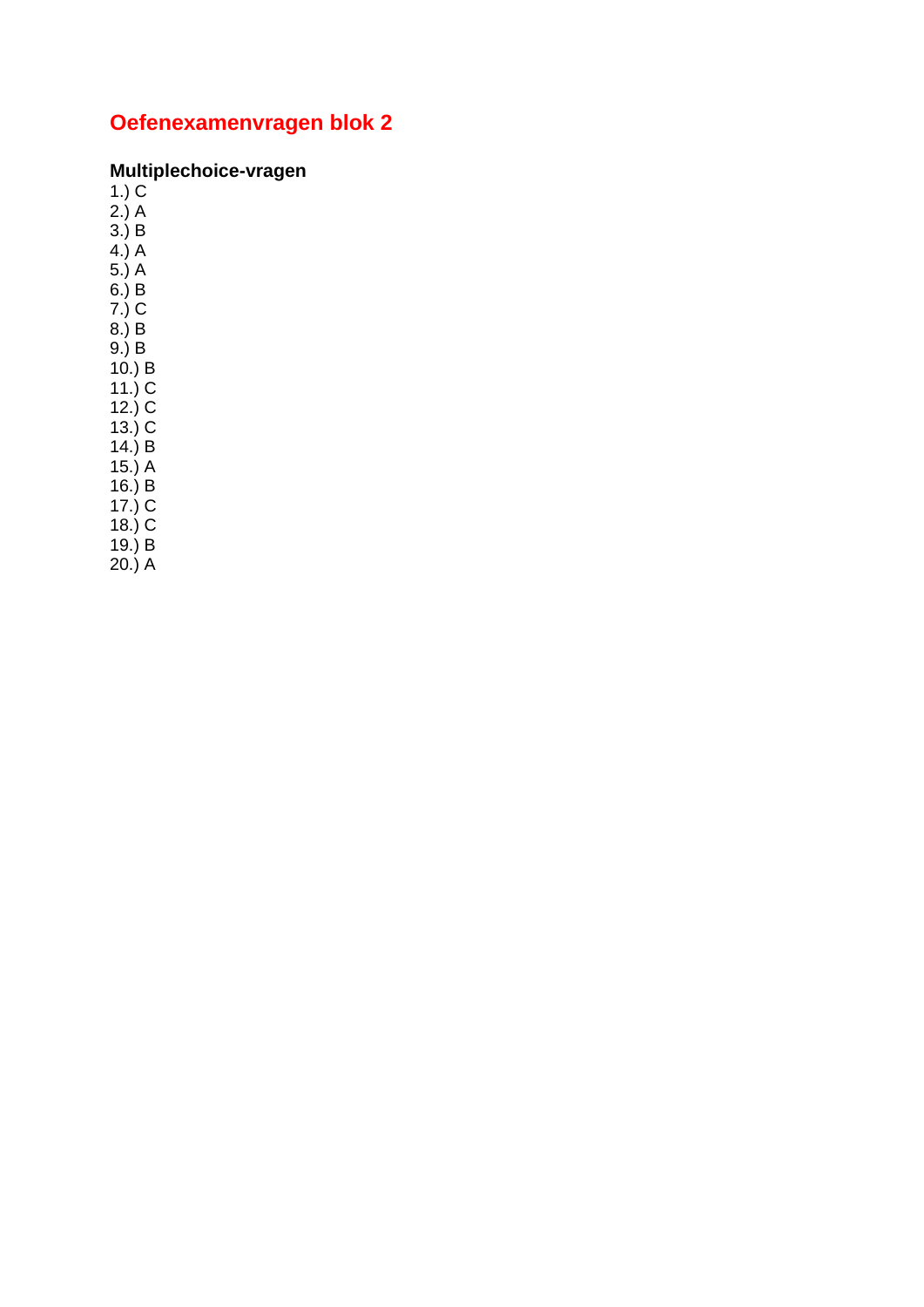### **Multiplechoice-vragen**<br>1.) C<br>2.) A

 $3.$ ) B

 $4.1A$  $5.)A$ 

 $6.$ ) B

 $7.)\overline{C}$ 

 $8.$ ) B

 $(9.) B$ <br> $(10.) B$ <br> $(11.) C$ <br> $(12.) C$ 

 $13.$ ) C

 $14.$ ) B<br> $15.$ ) A

 $16.$ ) B

 $17.$ ) C

 $18.) C$ <br> $19.) B$ 

 $20.)$  A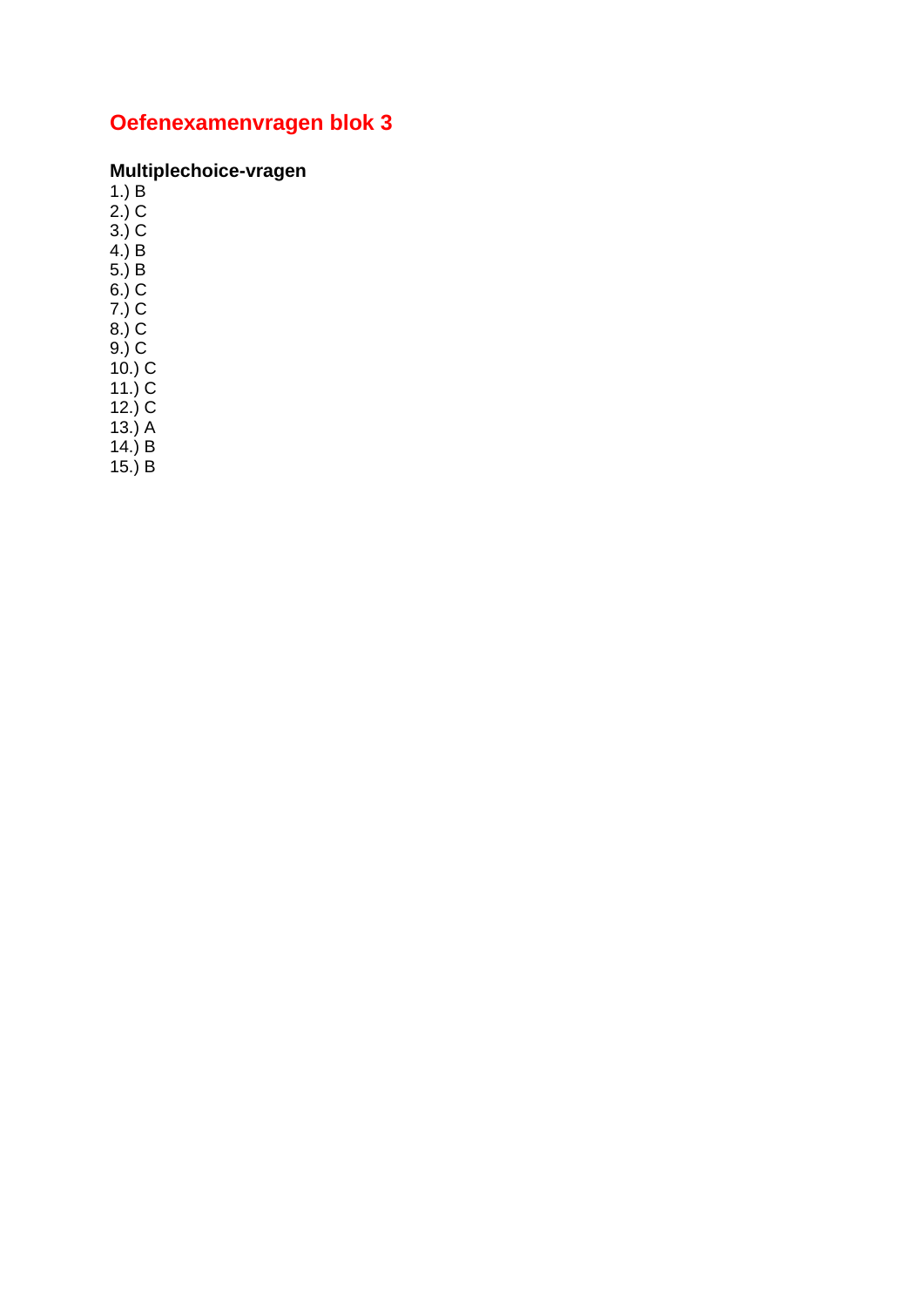### **Multiplechoice-vragen**<br>1.) B<br>2.) C

 $3.) C$ <br>4.) B

 $7.)$  C

 $8.0<sup>2</sup>$ 

 $(9.) C$ <br> $(10.) C$ <br> $(11.) C$ <br> $(12.) C$ 

 $12.7 \times 13.1 \times 14.1 \times 15.1 \times 15.1 \times 15.1 \times 15.1 \times 15.1 \times 15.1 \times 15.1 \times 15.1 \times 15.1 \times 15.1 \times 15.1 \times 15.1 \times 15.1 \times 15.1 \times 15.1 \times 15.1 \times 15.1 \times 15.1 \times 15.1 \times 15.1 \times 15.1 \times 15.1 \times 15.1 \times 15.1 \times 15.1 \times 15.1 \times 15.1 \times 15.1 \times 15.$